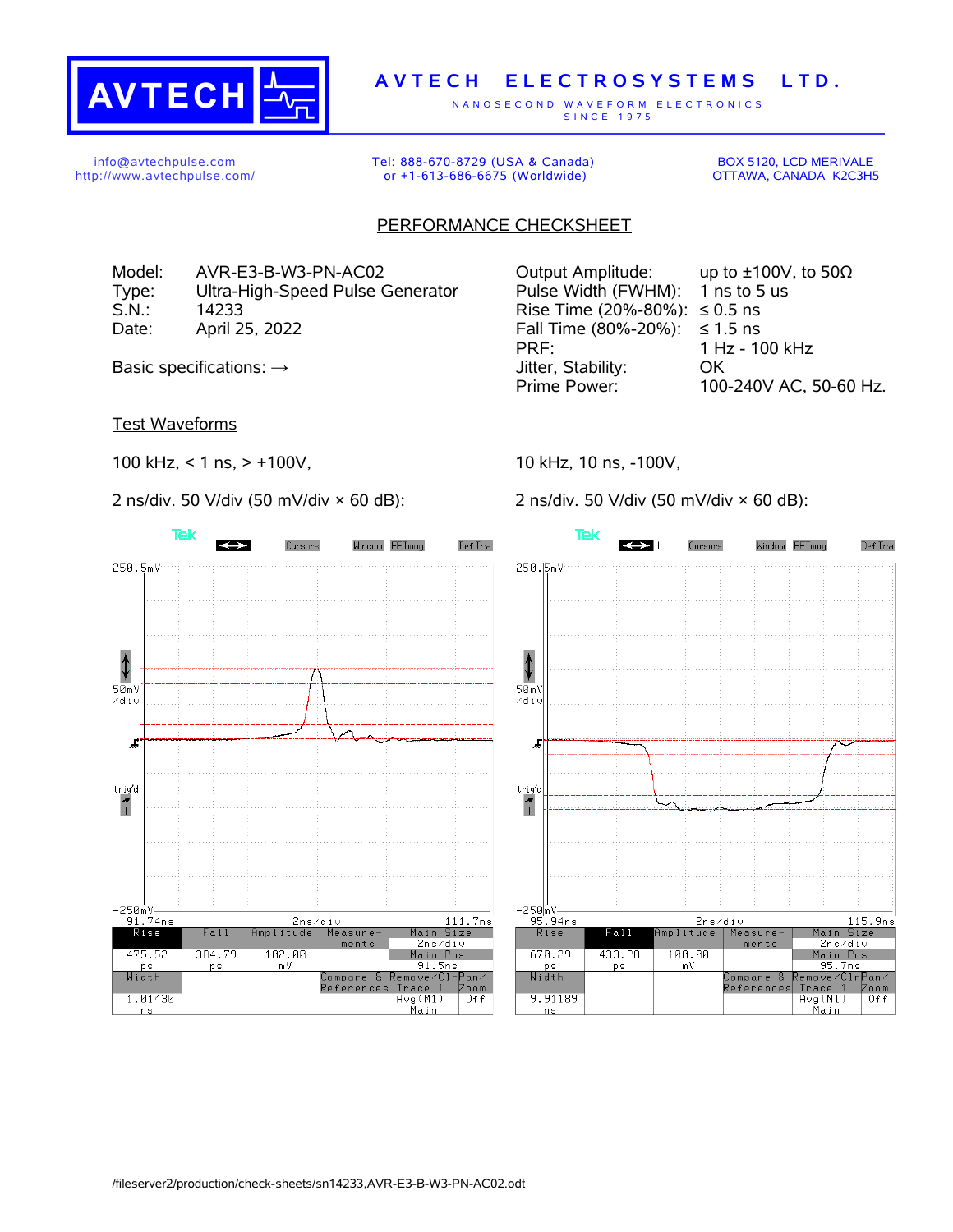

## **A V T E C H E L E C T R O S Y S T E M S L T D .**

N A N O S E C O N D W A V E F O R M E L E C T R O N I C S S IN C E 1975

info@avtechpulse.com http://www.avtechpulse.com/ Tel: 888-670-8729 (USA & Canada) or +1-613-686-6675 (Worldwide)

BOX 5120, LCD MERIVALE OTTAWA, CANADA K2C3H5

## PERFORMANCE CHECKSHEET

Model: AVR-E3-B-W3-PN-AC02 Output Amplitude: up to ±100V, to 50Ω Type: Ultra-High-Speed Pulse Generator Pulse Width (FWHM): 1 ns to 5 us S.N.: 14233 Rise Time (20%-80%): ≤ 0.5 ns Date: April 25, 2022 Fall Time (80%-20%): ≤ 1.5 ns

Test Waveforms

100 kHz, < 1 ns, > +100V,

2 ns/div. 50 V/div (50 mV/div × 60 dB):



PRF: 1 Hz - 100 kHz Basic specifications:  $\rightarrow$  Stability: OK Prime Power: 100-240V AC, 50-60 Hz.

10 kHz, 10 ns, -100V,

2 ns/div. 50 V/div (50 mV/div × 60 dB):

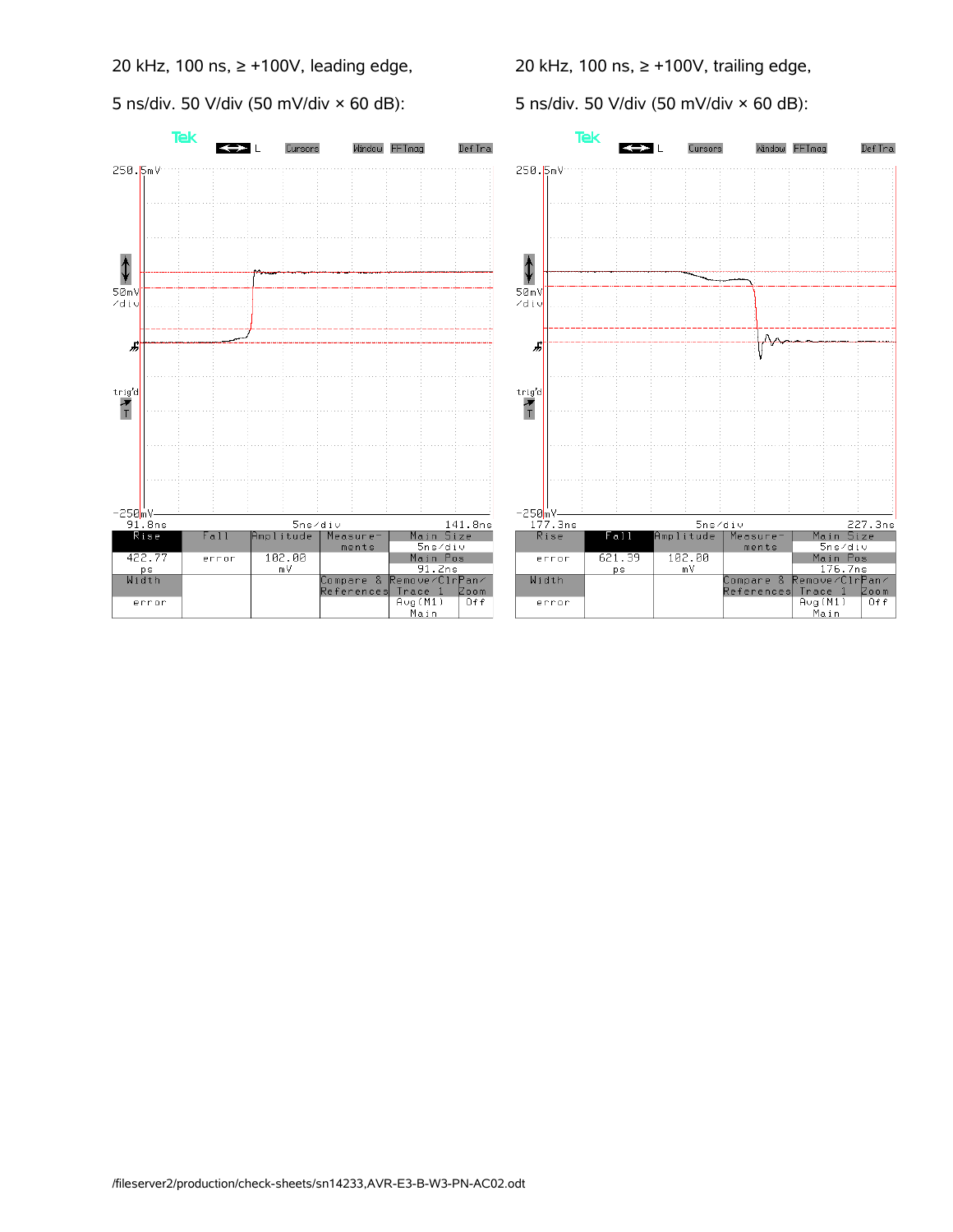20 kHz, 100 ns, ≥ +100V, leading edge,

5 ns/div. 50 V/div (50 mV/div × 60 dB):

20 kHz, 100 ns, ≥ +100V, trailing edge,

5 ns/div. 50 V/div (50 mV/div × 60 dB):